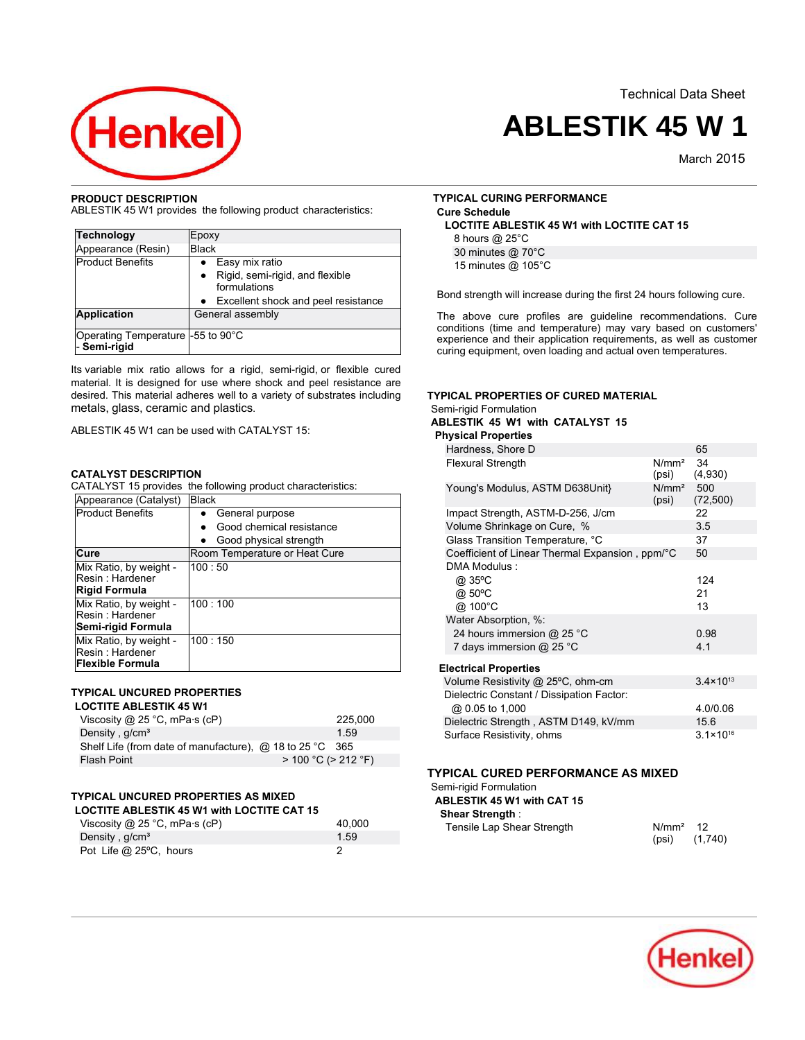Technical Data Sheet



# **ABLESTIK 45 W 1**

March<sub>2015</sub>

# **PRODUCT DESCRIPTION**

ABLESTIK 45 W1 provides the following product characteristics:

| Technology                                        | Epoxy                                                        |
|---------------------------------------------------|--------------------------------------------------------------|
| Appearance (Resin)                                | <b>Black</b>                                                 |
| <b>Product Benefits</b>                           | Easy mix ratio                                               |
|                                                   | Rigid, semi-rigid, and flexible<br>$\bullet$<br>formulations |
|                                                   | Excellent shock and peel resistance                          |
| <b>Application</b>                                | General assembly                                             |
| Operating Temperature -55 to 90°C<br>- Semi-rigid |                                                              |

Its variable mix ratio allows for a rigid, semi-rigid, or flexible cured material. It is designed for use where shock and peel resistance are desired. This material adheres well to a variety of substrates including metals, glass, ceramic and plastics.

ABLESTIK 45 W1 can be used with CATALYST 15:

# **CATALYST DESCRIPTION**

CATALYST 15 provides the following product characteristics:

| Appearance (Catalyst)                                                | <b>Black</b>                  |
|----------------------------------------------------------------------|-------------------------------|
| <b>Product Benefits</b>                                              | General purpose<br>٠          |
|                                                                      | Good chemical resistance      |
|                                                                      | Good physical strength<br>٠   |
| Cure                                                                 | Room Temperature or Heat Cure |
| Mix Ratio, by weight -<br>Resin: Hardener<br><b>Rigid Formula</b>    | 100:50                        |
| Mix Ratio, by weight -<br>Resin: Hardener<br>Semi-rigid Formula      | 100:100                       |
| Mix Ratio, by weight -<br>Resin: Hardener<br><b>Flexible Formula</b> | 100:150                       |

# **TYPICAL UNCURED PROPERTIES**

# **LOCTITE ABLESTIK 45 W1**

| Viscosity @ 25 °C, mPa $\cdot$ s (cP)                           |                           | 225,000 |
|-----------------------------------------------------------------|---------------------------|---------|
| Density, g/cm <sup>3</sup>                                      |                           | 1.59    |
| Shelf Life (from date of manufacture), $\omega$ 18 to 25 °C 365 |                           |         |
| Flash Point                                                     | $> 100 °C$ ( $> 212 °F$ ) |         |

# **TYPICAL UNCURED PROPERTIES AS MIXED**

| <b>LOCTITE ABLESTIK 45 W1 with LOCTITE CAT 15</b> |        |
|---------------------------------------------------|--------|
| Viscosity @ 25 °C, mPa $\cdot$ s (cP)             | 40.000 |
| Density, g/cm <sup>3</sup>                        | 1.59   |
| Pot Life @ 25°C, hours                            |        |

# **TYPICAL CURING PERFORMANCE Cure Schedule LOCTITE ABLESTIK 45 W1 with LOCTITE CAT 15**

8 hours @ 25°C

30 minutes @ 70°C 15 minutes @ 105°C

Bond strength will increase during the first 24 hours following cure.

The above cure profiles are guideline recommendations. Cure conditions (time and temperature) may vary based on customers' experience and their application requirements, as well as customer curing equipment, oven loading and actual oven temperatures.

# **TYPICAL PROPERTIES OF CURED MATERIAL**

Semi-rigid Formulation

**ABLESTIK 45 W1 with CATALYST 15**

# **Physical Properties**

| Hardness, Shore D                               |                                | 65                   |  |
|-------------------------------------------------|--------------------------------|----------------------|--|
| <b>Flexural Strength</b>                        | N/mm <sup>2</sup><br>(psi)     | 34<br>(4,930)        |  |
| Young's Modulus, ASTM D638Unit}                 | N/mm <sup>2</sup> 500<br>(psi) | (72, 500)            |  |
| Impact Strength, ASTM-D-256, J/cm               |                                | 22                   |  |
| Volume Shrinkage on Cure, %                     |                                | 3.5                  |  |
| Glass Transition Temperature, °C                |                                | 37                   |  |
| Coefficient of Linear Thermal Expansion, ppm/°C |                                | 50                   |  |
| DMA Modulus:                                    |                                |                      |  |
| @ 35°C                                          |                                | 124                  |  |
| @ 50°C                                          |                                | 21                   |  |
| @ 100°C                                         |                                | 13                   |  |
| Water Absorption, %:                            |                                |                      |  |
| 24 hours immersion @ 25 °C                      |                                | 0.98                 |  |
| 7 days immersion $@$ 25 °C                      |                                | 4.1                  |  |
| <b>Electrical Properties</b>                    |                                |                      |  |
| Volume Resistivity @ 25°C, ohm-cm               |                                | $3.4 \times 10^{13}$ |  |
| Dielectric Constant / Dissipation Factor:       |                                |                      |  |
| @ 0.05 to 1,000                                 |                                | 4.0/0.06             |  |
| Dielectric Strength, ASTM D149, kV/mm           |                                | 15.6                 |  |
| Surface Resistivity, ohms                       |                                | $3.1 \times 10^{16}$ |  |

# **TYPICAL CURED PERFORMANCE AS MIXED**

#### Semi-rigid Formulation

| ABLESTIK 45 W1 with CAT 15 |  |
|----------------------------|--|
| <b>Shear Strength:</b>     |  |
|                            |  |

| Tensile Lap Shear Strength | $N/mm2$ 12 |         |
|----------------------------|------------|---------|
|                            | (psi)      | (1,740) |